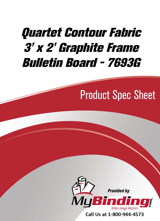# [Quartet Contour Fabric](https://www.mybinding.com/quartet-contour-fabric-graphite-frame-bulletin-board.html?sku=QRT-7693G)  3' x 2' Graphite Frame Bulletin Board - 7693G

## Product Spec Sheet



Call Us at 1-800-944-4573